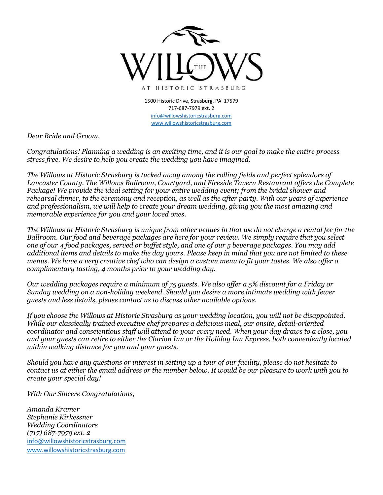

1500 Historic Drive, Strasburg, PA 17579 717-687-7979 ext. 2 [info@willowshistoricstrasburg.com](mailto:info@willowshistoricstrasburg.com) [www.willowshistoricstrasburg.com](http://www.willowshistoricstrasburg.com/)

*Dear Bride and Groom,* 

*Congratulations! Planning a wedding is an exciting time, and it is our goal to make the entire process stress free. We desire to help you create the wedding you have imagined.* 

*The Willows at Historic Strasburg is tucked away among the rolling fields and perfect splendors of Lancaster County. The Willows Ballroom, Courtyard, and Fireside Tavern Restaurant offers the Complete Package! We provide the ideal setting for your entire wedding event; from the bridal shower and rehearsal dinner, to the ceremony and reception, as well as the after party. With our years of experience and professionalism, we will help to create your dream wedding, giving you the most amazing and memorable experience for you and your loved ones.* 

*The Willows at Historic Strasburg is unique from other venues in that we do not charge a rental fee for the Ballroom. Our food and beverage packages are here for your review. We simply require that you select one of our 4 food packages, served or buffet style, and one of our 5 beverage packages. You may add additional items and details to make the day yours. Please keep in mind that you are not limited to these menus. We have a very creative chef who can design a custom menu to fit your tastes. We also offer a complimentary tasting, 4 months prior to your wedding day.* 

*Our wedding packages require a minimum of 75 guests. We also offer a 5% discount for a Friday or Sunday wedding on a non-holiday weekend. Should you desire a more intimate wedding with fewer guests and less details, please contact us to discuss other available options.* 

*If you choose the Willows at Historic Strasburg as your wedding location, you will not be disappointed. While our classically trained executive chef prepares a delicious meal, our onsite, detail-oriented coordinator and conscientious staff will attend to your every need. When your day draws to a close, you and your guests can retire to either the Clarion Inn or the Holiday Inn Express, both conveniently located within walking distance for you and your guests.* 

*Should you have any questions or interest in setting up a tour of our facility, please do not hesitate to contact us at either the email address or the number below. It would be our pleasure to work with you to create your special day!* 

*With Our Sincere Congratulations,*

*Amanda Kramer Stephanie Kirkessner Wedding Coordinators (717) 687-7979 ext. 2* [info@willowshistoricstrasburg.com](mailto:info@willowshistoricstrasburg.com) [www.willowshistoricstrasburg.com](http://www.willowshistoricstrasburg.com/)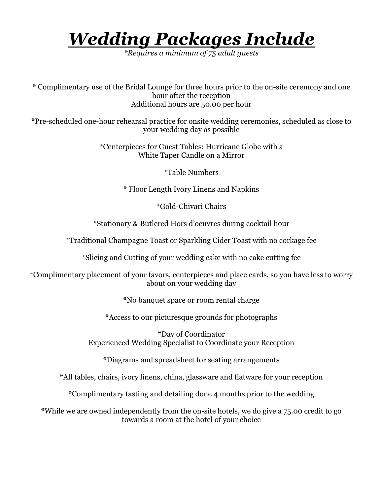# *Wedding Packages Include*

*\*Requires a minimum of 75 adult guests*

\* Complimentary use of the Bridal Lounge for three hours prior to the on-site ceremony and one hour after the reception Additional hours are 50.00 per hour

\*Pre-scheduled one-hour rehearsal practice for onsite wedding ceremonies, scheduled as close to your wedding day as possible

> \*Centerpieces for Guest Tables: Hurricane Globe with a White Taper Candle on a Mirror

> > \*Table Numbers

\* Floor Length Ivory Linens and Napkins

\*Gold-Chivari Chairs

\*Stationary & Butlered Hors d'oeuvres during cocktail hour

\*Traditional Champagne Toast or Sparkling Cider Toast with no corkage fee

\*Slicing and Cutting of your wedding cake with no cake cutting fee

\*Complimentary placement of your favors, centerpieces and place cards, so you have less to worry about on your wedding day

\*No banquet space or room rental charge

\*Access to our picturesque grounds for photographs

\*Day of Coordinator Experienced Wedding Specialist to Coordinate your Reception

\*Diagrams and spreadsheet for seating arrangements

\*All tables, chairs, ivory linens, china, glassware and flatware for your reception

\*Complimentary tasting and detailing done 4 months prior to the wedding

\*While we are owned independently from the on-site hotels, we do give a 75.00 credit to go towards a room at the hotel of your choice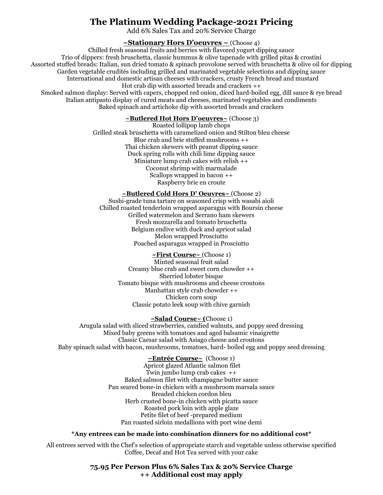## **The Platinum Wedding Package-2021 Pricing**

Add 6% Sales Tax and 20% Service Charge

**~Stationary Hors D'oeuvres ~** (Choose 4)

Chilled fresh seasonal fruits and berries with flavored yogurt dipping sauce Trio of dippers: fresh bruschetta, classic hummus & olive tapenade with grilled pitas & crostini Assorted stuffed breads: Italian, sun dried tomato & spinach provolone served with bruschetta & olive oil for dipping Garden vegetable crudités including grilled and marinated vegetable selections and dipping sauce International and domestic artisan cheeses with crackers, crusty French bread and mustard Hot crab dip with assorted breads and crackers ++ Smoked salmon display: Served with capers, chopped red onion, diced hard-boiled egg, dill sauce & rye bread Italian antipasto display of cured meats and cheeses, marinated vegetables and condiments Baked spinach and artichoke dip with assorted breads and crackers

## **~Butlered Hot Hors D'oeuvres~** (Choose 3)

Roasted lollipop lamb chops Grilled steak bruschetta with caramelized onion and Stilton bleu cheese Blue crab and brie stuffed mushrooms ++ Thai chicken skewers with peanut dipping sauce Duck spring rolls with chili lime dipping sauce Miniature lump crab cakes with relish ++ Coconut shrimp with marmalade Scallops wrapped in bacon ++ Raspberry brie en croute

## **~Butlered Cold Hors D' Oeuvres~** (Choose 2)

Sushi-grade tuna tartare on seasoned crisp with wasabi aioli Chilled roasted tenderloin wrapped asparagus with Boursin cheese Grilled watermelon and Serrano ham skewers Fresh mozzarella and tomato bruschetta Belgium endive with duck and apricot salad Melon wrapped Prosciutto Poached asparagus wrapped in Prosciutto

## **~First Course~** (Choose 1)

Minted seasonal fruit salad Creamy blue crab and sweet corn chowder ++ Sherried lobster bisque Tomato bisque with mushrooms and cheese croutons Manhattan style crab chowder ++ Chicken corn soup Classic potato leek soup with chive garnish

#### **~Salad Course~ (**Choose 1)

Arugula salad with sliced strawberries, candied walnuts, and poppy seed dressing Mixed baby greens with tomatoes and aged balsamic vinaigrette Classic Caesar salad with Asiago cheese and croutons Baby spinach salad with bacon, mushrooms, tomatoes, hard- boiled egg and poppy seed dressing

## **~Entrée Course~** (Choose 1)

Apricot glazed Atlantic salmon filet Twin jumbo lump crab cakes ++ Baked salmon filet with champagne butter sauce Pan seared bone-in chicken with a mushroom marsala sauce Breaded chicken cordon bleu Herb crusted bone-in chicken with picatta sauce Roasted pork loin with apple glaze Petite filet of beef -prepared medium Pan roasted sirloin medallions with port wine demi

#### **\*Any entrees can be made into combination dinners for no additional cost\***

All entrees served with the Chef's selection of appropriate starch and vegetable unless otherwise specified Coffee, Decaf and Hot Tea served with your cake

> **75.95 Per Person Plus 6% Sales Tax & 20% Service Charge ++ Additional cost may apply**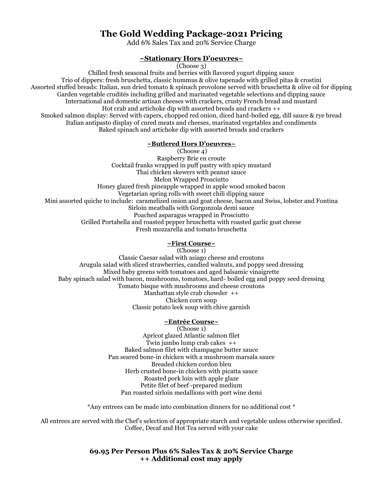## **The Gold Wedding Package-2021 Pricing**

Add 6% Sales Tax and 20% Service Charge

### **~Stationary Hors D'oeuvres~**

(Choose 3)

Chilled fresh seasonal fruits and berries with flavored yogurt dipping sauce Trio of dippers: fresh bruschetta, classic hummus & olive tapenade with grilled pitas & crostini Assorted stuffed breads: Italian, sun dried tomato & spinach provolone served with bruschetta & olive oil for dipping Garden vegetable crudités including grilled and marinated vegetable selections and dipping sauce International and domestic artisan cheeses with crackers, crusty French bread and mustard Hot crab and artichoke dip with assorted breads and crackers ++ Smoked salmon display: Served with capers, chopped red onion, diced hard-boiled egg, dill sauce & rye bread Italian antipasto display of cured meats and cheeses, marinated vegetables and condiments Baked spinach and artichoke dip with assorted breads and crackers

#### **~Butlered Hors D'oeuvres~**

(Choose 4) Raspberry Brie en croute Cocktail franks wrapped in puff pastry with spicy mustard Thai chicken skewers with peanut sauce Melon Wrapped Prosciutto Honey glazed fresh pineapple wrapped in apple wood smoked bacon Vegetarian spring rolls with sweet chili dipping sauce Mini assorted quiche to include: caramelized onion and goat cheese, bacon and Swiss, lobster and Fontina Sirloin meatballs with Gorgonzola demi sauce Poached asparagus wrapped in Prosciutto Grilled Portabella and roasted pepper bruschetta with roasted garlic goat cheese Fresh mozzarella and tomato bruschetta

## **~First Course~**

(Choose 1) Classic Caesar salad with asiago cheese and croutons Arugula salad with sliced strawberries, candied walnuts, and poppy seed dressing Mixed baby greens with tomatoes and aged balsamic vinaigrette Baby spinach salad with bacon, mushrooms, tomatoes, hard- boiled egg and poppy seed dressing Tomato bisque with mushrooms and cheese croutons Manhattan style crab chowder ++ Chicken corn soup Classic potato leek soup with chive garnish

## **~Entrée Course~**

(Choose 1) Apricot glazed Atlantic salmon filet Twin jumbo lump crab cakes ++ Baked salmon filet with champagne butter sauce Pan seared bone-in chicken with a mushroom marsala sauce Breaded chicken cordon bleu Herb crusted bone-in chicken with picatta sauce Roasted pork loin with apple glaze Petite filet of beef -prepared medium Pan roasted sirloin medallions with port wine demi

\*Any entrees can be made into combination dinners for no additional cost \*

All entrees are served with the Chef's selection of appropriate starch and vegetable unless otherwise specified. Coffee, Decaf and Hot Tea served with your cake

## **69.95 Per Person Plus 6% Sales Tax & 20% Service Charge ++ Additional cost may apply**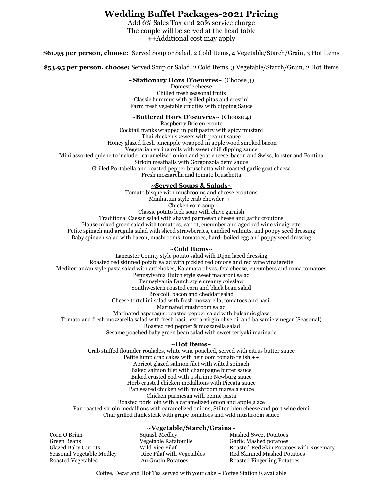## **Wedding Buffet Packages-2021 Pricing**

Add 6% Sales Tax and 20% service charge The couple will be served at the head table ++Additional cost may apply

**\$61.95 per person, choose:** Served Soup or Salad, 2 Cold Items, 4 Vegetable/Starch/Grain, 3 Hot Items

**\$53.95 per person, choose:** Served Soup or Salad, 2 Cold Items, 3 Vegetable/Starch/Grain, 2 Hot Items

#### **~Stationary Hors D'oeuvres~** (Choose 3)

Domestic cheese Chilled fresh seasonal fruits Classic hummus with grilled pitas and crostini Farm fresh vegetable crudités with dipping Sauce

#### **~Butlered Hors D'oeuvres~** (Choose 4)

Raspberry Brie en croute Cocktail franks wrapped in puff pastry with spicy mustard Thai chicken skewers with peanut sauce Honey glazed fresh pineapple wrapped in apple wood smoked bacon Vegetarian spring rolls with sweet chili dipping sauce Mini assorted quiche to include: caramelized onion and goat cheese, bacon and Swiss, lobster and Fontina Sirloin meatballs with Gorgonzola demi sauce Grilled Portabella and roasted pepper bruschetta with roasted garlic goat cheese Fresh mozzarella and tomato bruschetta

#### **~Served Soups & Salads~**

Tomato bisque with mushrooms and cheese croutons Manhattan style crab chowder ++ Chicken corn soup Classic potato leek soup with chive garnish Traditional Caesar salad with shaved parmesan cheese and garlic croutons House mixed green salad with tomatoes, carrot, cucumber and aged red wine vinaigrette Petite spinach and arugula salad with sliced strawberries, candied walnuts, and poppy seed dressing Baby spinach salad with bacon, mushrooms, tomatoes, hard- boiled egg and poppy seed dressing

#### **~Cold Items~**

Lancaster County style potato salad with Dijon laced dressing Roasted red skinned potato salad with pickled red onions and red wine vinaigrette Mediterranean style pasta salad with artichokes, Kalamata olives, feta cheese, cucumbers and roma tomatoes Pennsylvania Dutch style sweet macaroni salad Pennsylvania Dutch style creamy coleslaw Southwestern roasted corn and black bean salad Broccoli, bacon and cheddar salad Cheese tortellini salad with fresh mozzarella, tomatoes and basil Marinated mushroom salad Marinated asparagus, roasted pepper salad with balsamic glaze Tomato and fresh mozzarella salad with fresh basil, extra-virgin olive oil and balsamic vinegar (Seasonal) Roasted red pepper & mozzarella salad Sesame poached baby green bean salad with sweet teriyaki marinade **~Hot Items~**

Crab stuffed flounder roulades, white wine poached, served with citrus butter sauce Petite lump crab cakes with heirloom tomato relish ++ Apricot glazed salmon filet with wilted spinach Baked salmon filet with champagne butter sauce Baked crusted cod with a shrimp Newburg sauce Herb crusted chicken medallions with Piccata sauce Pan seared chicken with mushroom marsala sauce Chicken parmesan with penne pasta Roasted pork loin with a caramelized onion and apple glaze Pan roasted sirloin medallions with caramelized onions, Stilton bleu cheese and port wine demi Char grilled flank steak with grape tomatoes and wild mushroom sauce

#### **~Vegetable/Starch/Grains~**

Green Beans Vegetable Ratatouille Garlic Mashed potatoes Roasted Vegetables **Au Gratin Potatoes** Roasted Fingerling Potatoes

Corn O'Brian Squash Medley Mashed Sweet Potatoes

Glazed Baby Carrots Wild Rice Pilaf Roasted Red Skin Potatoes with Rosemary Seasonal Vegetable Medley Rice Pilaf with Vegetables Red Skinned Mashed Potatoes

Coffee, Decaf and Hot Tea served with your cake ~ Coffee Station is available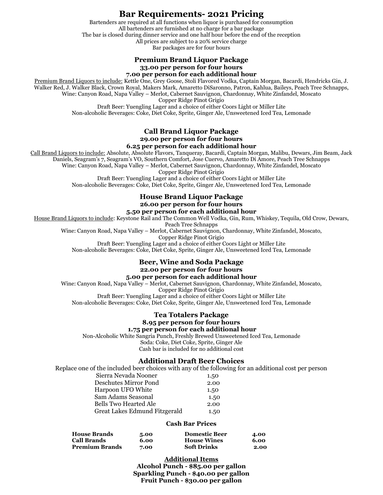## **Bar Requirements- 2021 Pricing**

Bartenders are required at all functions when liquor is purchased for consumption All bartenders are furnished at no charge for a bar package The bar is closed during dinner service and one half hour before the end of the reception All prices are subject to a 20% service charge Bar packages are for four hours

#### **Premium Brand Liquor Package 33.00 per person for four hours 7.00 per person for each additional hour**

Premium Brand Liquors to include: Kettle One, Grey Goose, Stoli Flavored Vodka, Captain Morgan, Bacardi, Hendricks Gin, J. Walker Red, J. Walker Black, Crown Royal, Makers Mark, Amaretto DiSaronno, Patron, Kahlua, Baileys, Peach Tree Schnapps, Wine: Canyon Road, Napa Valley – Merlot, Cabernet Sauvignon, Chardonnay, White Zinfandel, Moscato

Copper Ridge Pinot Grigio

Draft Beer: Yuengling Lager and a choice of either Coors Light or Miller Lite

Non-alcoholic Beverages: Coke, Diet Coke, Sprite, Ginger Ale, Unsweetened Iced Tea, Lemonade

#### **Call Brand Liquor Package 29.00 per person for four hours 6.25 per person for each additional hour**

Call Brand Liquors to include: Absolute, Absolute Flavors, Tanqueray, Bacardi, Captain Morgan, Malibu, Dewars, Jim Beam, Jack

Daniels, Seagram's 7, Seagram's VO, Southern Comfort, Jose Cuervo, Amaretto Di Amore, Peach Tree Schnapps Wine: Canyon Road, Napa Valley – Merlot, Cabernet Sauvignon, Chardonnay, White Zinfandel, Moscato

Copper Ridge Pinot Grigio

Draft Beer: Yuengling Lager and a choice of either Coors Light or Miller Lite

Non-alcoholic Beverages: Coke, Diet Coke, Sprite, Ginger Ale, Unsweetened Iced Tea, Lemonade

### **House Brand Liquor Package 26.00 per person for four hours**

## **5.50 per person for each additional hour**

House Brand Liquors to include: Keystone Rail and The Common Well Vodka, Gin, Rum, Whiskey, Tequila, Old Crow, Dewars,

Peach Tree Schnapps

Wine: Canyon Road, Napa Valley – Merlot, Cabernet Sauvignon, Chardonnay, White Zinfandel, Moscato,

Copper Ridge Pinot Grigio

Draft Beer: Yuengling Lager and a choice of either Coors Light or Miller Lite

Non-alcoholic Beverages: Coke, Diet Coke, Sprite, Ginger Ale, Unsweetened Iced Tea, Lemonade

## **Beer, Wine and Soda Package 22.00 per person for four hours**

## **5.00 per person for each additional hour**

Wine: Canyon Road, Napa Valley – Merlot, Cabernet Sauvignon, Chardonnay, White Zinfandel, Moscato,

Copper Ridge Pinot Grigio

Draft Beer: Yuengling Lager and a choice of either Coors Light or Miller Lite Non-alcoholic Beverages: Coke, Diet Coke, Sprite, Ginger Ale, Unsweetened Iced Tea, Lemonade

#### **Tea Totalers Package 8.95 per person for four hours**

## **1.75 per person for each additional hour**

Non-Alcoholic White Sangria Punch, Freshly Brewed Unsweetened Iced Tea, Lemonade Soda: Coke, Diet Coke, Sprite, Ginger Ale Cash bar is included for no additional cost

#### **Additional Draft Beer Choices**

Replace one of the included beer choices with any of the following for an additional cost per person

| Sierra Nevada Nooner          | 1.50 |
|-------------------------------|------|
| Deschutes Mirror Pond         | 2.00 |
| Harpoon UFO White             | 1.50 |
| Sam Adams Seasonal            | 1.50 |
| Bells Two Hearted Ale         | 2.00 |
| Great Lakes Edmund Fitzgerald | 1.50 |
|                               |      |

#### **Cash Bar Prices**

| <b>House Brands</b>   | 5.00 | <b>Domestic Beer</b> | 4.00 |
|-----------------------|------|----------------------|------|
| <b>Call Brands</b>    | 6.00 | <b>House Wines</b>   | 6.00 |
| <b>Premium Brands</b> | 7.00 | <b>Soft Drinks</b>   | 2.00 |

#### **Additional Items**

**Alcohol Punch - \$85.00 per gallon Sparkling Punch - \$40.00 per gallon Fruit Punch - \$30.00 per gallon**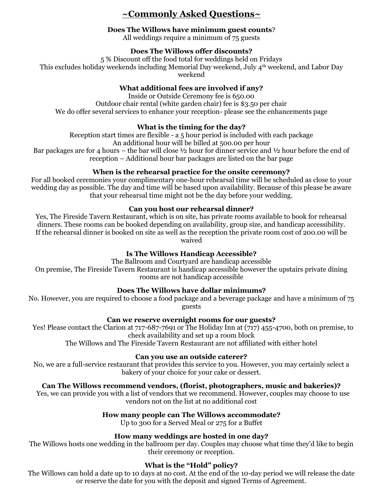## **~Commonly Asked Questions~**

## **Does The Willows have minimum guest counts**?

All weddings require a minimum of 75 guests

## **Does The Willows offer discounts?**

5 % Discount off the food total for weddings held on Fridays This excludes holiday weekends including Memorial Day weekend, July 4th weekend, and Labor Day weekend

## **What additional fees are involved if any?**

Inside or Outside Ceremony fee is 650.00 Outdoor chair rental (white garden chair) fee is \$3.50 per chair We do offer several services to enhance your reception- please see the enhancements page

## **What is the timing for the day?**

Reception start times are flexible - a 5 hour period is included with each package

An additional hour will be billed at 500.00 per hour

Bar packages are for 4 hours – the bar will close  $\frac{1}{2}$  hour for dinner service and  $\frac{1}{2}$  hour before the end of reception – Additional hour bar packages are listed on the bar page

## **When is the rehearsal practice for the onsite ceremony?**

For all booked ceremonies your complimentary one-hour rehearsal time will be scheduled as close to your wedding day as possible. The day and time will be based upon availability. Because of this please be aware that your rehearsal time might not be the day before your wedding.

## **Can you host our rehearsal dinner?**

Yes, The Fireside Tavern Restaurant, which is on site, has private rooms available to book for rehearsal dinners. These rooms can be booked depending on availability, group size, and handicap accessibility. If the rehearsal dinner is booked on site as well as the reception the private room cost of 200.00 will be waived

## **Is The Willows Handicap Accessible?**

The Ballroom and Courtyard are handicap accessible On premise, The Fireside Tavern Restaurant is handicap accessible however the upstairs private dining rooms are not handicap accessible

## **Does The Willows have dollar minimums?**

No. However, you are required to choose a food package and a beverage package and have a minimum of 75 guests

## **Can we reserve overnight rooms for our guests?**

 Yes! Please contact the Clarion at 717-687-7691 or The Holiday Inn at (717) 455-4700, both on premise, to check availability and set up a room block

The Willows and The Fireside Tavern Restaurant are not affiliated with either hotel

## **Can you use an outside caterer?**

No, we are a full-service restaurant that provides this service to you. However, you may certainly select a bakery of your choice for your cake or dessert.

## **Can The Willows recommend vendors, (florist, photographers, music and bakeries)?**

 Yes, we can provide you with a list of vendors that we recommend. However, couples may choose to use vendors not on the list at no additional cost

## **How many people can The Willows accommodate?**

Up to 300 for a Served Meal or 275 for a Buffet

## **How many weddings are hosted in one day?**

The Willows hosts one wedding in the ballroom per day. Couples may choose what time they'd like to begin their ceremony or reception.

## **What is the "Hold" policy?**

The Willows can hold a date up to 10 days at no cost. At the end of the 10-day period we will release the date or reserve the date for you with the deposit and signed Terms of Agreement.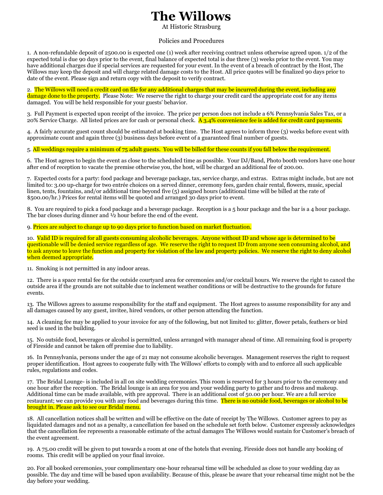## **The Willows**

At Historic Strasburg

Policies and Procedures

1. A non-refundable deposit of 2500.00 is expected one (1) week after receiving contract unless otherwise agreed upon. 1/2 of the expected total is due 90 days prior to the event, final balance of expected total is due three (3) weeks prior to the event. You may have additional charges due if special services are requested for your event. In the event of a breach of contract by the Host, The Willows may keep the deposit and will charge related damage costs to the Host. All price quotes will be finalized 90 days prior to date of the event. Please sign and return copy with the deposit to verify contract.

2. The Willows will need a credit card on file for any additional charges that may be incurred during the event, including any damage done to the property. Please Note: We reserve the right to charge your credit card the appropriate cost for any items damaged. You will be held responsible for your guests' behavior.

3. Full Payment is expected upon receipt of the invoice. The price per person does not include a 6% Pennsylvania Sales Tax, or a 20% Service Charge. All listed prices are for cash or personal check. A 3.4% convenience fee is added for credit card payments.

4. A fairly accurate guest count should be estimated at booking time. The Host agrees to inform three (3) weeks before event with approximate count and again three (3) business days before event of a guaranteed final number of guests.

5. All weddings require a minimum of 75 adult guests. You will be billed for these counts if you fall below the requirement.

6. The Host agrees to begin the event as close to the scheduled time as possible. Your DJ/Band, Photo booth vendors have one hour after end of reception to vacate the premise otherwise you, the host, will be charged an additional fee of 200.00.

7. Expected costs for a party: food package and beverage package, tax, service charge, and extras. Extras might include, but are not limited to: 3.00 up-charge for two entrée choices on a served dinner, ceremony fees, garden chair rental, flowers, music, special linen, tents, fountains, and/or additional time beyond five (5) assigned hours (additional time will be billed at the rate of \$500.00/hr.) Prices for rental items will be quoted and arranged 30 days prior to event.

8. You are required to pick a food package and a beverage package. Reception is a 5 hour package and the bar is a 4 hour package. The bar closes during dinner and ½ hour before the end of the event.

9. Prices are subject to change up to 90 days prior to function based on market fluctuation.

10. Valid ID is required for all guests consuming alcoholic beverages. Anyone without ID and whose age is determined to be questionable will be denied service regardless of age. We reserve the right to request ID from anyone seen consuming alcohol, and to ask anyone to leave the function and property for violation of the law and property policies. We reserve the right to deny alcohol when deemed appropriate.

11. Smoking is not permitted in any indoor areas.

12. There is a space rental fee for the outside courtyard area for ceremonies and/or cocktail hours. We reserve the right to cancel the outside area if the grounds are not suitable due to inclement weather conditions or will be destructive to the grounds for future events.

13. The Willows agrees to assume responsibility for the staff and equipment. The Host agrees to assume responsibility for any and all damages caused by any guest, invitee, hired vendors, or other person attending the function.

14. A cleaning fee may be applied to your invoice for any of the following, but not limited to: glitter, flower petals, feathers or bird seed is used in the building.

15. No outside food, beverages or alcohol is permitted, unless arranged with manager ahead of time. All remaining food is property of Fireside and cannot be taken off premise due to liability.

16. In Pennsylvania, persons under the age of 21 may not consume alcoholic beverages. Management reserves the right to request proper identification. Host agrees to cooperate fully with The Willows' efforts to comply with and to enforce all such applicable rules, regulations and codes.

17. The Bridal Lounge- is included in all on site wedding ceremonies. This room is reserved for 3 hours prior to the ceremony and one hour after the reception. The Bridal lounge is an area for you and your wedding party to gather and to dress and makeup. Additional time can be made available, with pre approval. There is an additional cost of 50.00 per hour. We are a full service restaurant; we can provide you with any food and beverages during this time. There is no outside food, beverages or alcohol to be brought in. Please ask to see our Bridal menu.

18. All cancellation notices shall be written and will be effective on the date of receipt by The Willows. Customer agrees to pay as liquidated damages and not as a penalty, a cancellation fee based on the schedule set forth below. Customer expressly acknowledges that the cancellation fee represents a reasonable estimate of the actual damages The Willows would sustain for Customer's breach of the event agreement.

19. A 75.00 credit will be given to put towards a room at one of the hotels that evening. Fireside does not handle any booking of rooms. This credit will be applied on your final invoice.

20. For all booked ceremonies, your complimentary one-hour rehearsal time will be scheduled as close to your wedding day as possible. The day and time will be based upon availability. Because of this, please be aware that your rehearsal time might not be the day before your wedding.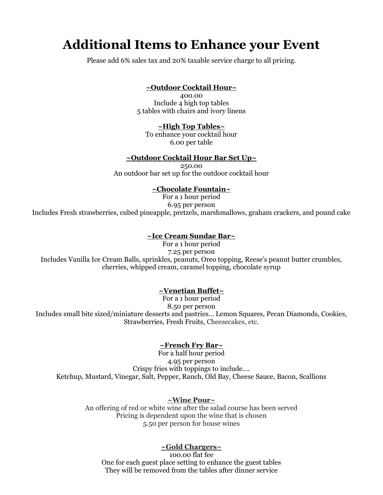## **Additional Items to Enhance your Event**

Please add 6% sales tax and 20% taxable service charge to all pricing.

## **~Outdoor Cocktail Hour~**

400.00 Include 4 high top tables 5 tables with chairs and ivory linens

#### **~High Top Tables~**

To enhance your cocktail hour 6.00 per table

## **~Outdoor Cocktail Hour Bar Set Up~**

250.00 An outdoor bar set up for the outdoor cocktail hour

#### **~Chocolate Fountain~**

For a 1 hour period 6.95 per person Includes Fresh strawberries, cubed pineapple, pretzels, marshmallows, graham crackers, and pound cake

#### **~Ice Cream Sundae Bar~**

For a 1 hour period 7.25 per person Includes Vanilla Ice Cream Balls, sprinkles, peanuts, Oreo topping, Reese's peanut butter crumbles, cherries, whipped cream, caramel topping, chocolate syrup

#### **~Venetian Buffet~**

For a 1 hour period 8.50 per person Includes small bite sized/miniature desserts and pastries… Lemon Squares, Pecan Diamonds, Cookies, Strawberries, Fresh Fruits, Cheesecakes, etc.

#### **~French Fry Bar~**

For a half hour period 4.95 per person Crispy fries with toppings to include…. Ketchup, Mustard, Vinegar, Salt, Pepper, Ranch, Old Bay, Cheese Sauce, Bacon, Scallions

#### **~Wine Pour~**

An offering of red or white wine after the salad course has been served Pricing is dependent upon the wine that is chosen 5.50 per person for house wines

## **~Gold Chargers~**

100.00 flat fee One for each guest place setting to enhance the guest tables They will be removed from the tables after dinner service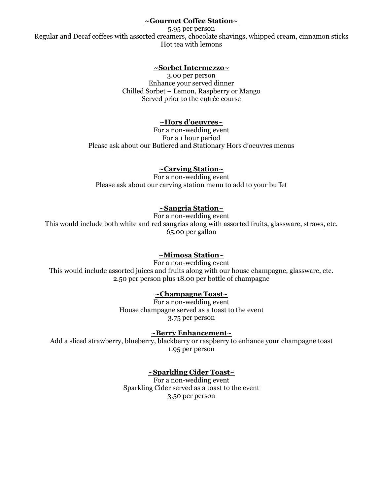## **~Gourmet Coffee Station~**

5.95 per person Regular and Decaf coffees with assorted creamers, chocolate shavings, whipped cream, cinnamon sticks Hot tea with lemons

## **~Sorbet Intermezzo~**

3.00 per person Enhance your served dinner Chilled Sorbet – Lemon, Raspberry or Mango Served prior to the entrée course

## **~Hors d'oeuvres~**

For a non-wedding event For a 1 hour period Please ask about our Butlered and Stationary Hors d'oeuvres menus

## **~Carving Station~**

For a non-wedding event Please ask about our carving station menu to add to your buffet

## **~Sangria Station~**

For a non-wedding event This would include both white and red sangrias along with assorted fruits, glassware, straws, etc. 65.00 per gallon

## **~Mimosa Station~**

For a non-wedding event This would include assorted juices and fruits along with our house champagne, glassware, etc. 2.50 per person plus 18.00 per bottle of champagne

## **~Champagne Toast~**

For a non-wedding event House champagne served as a toast to the event 3.75 per person

## **~Berry Enhancement~**

Add a sliced strawberry, blueberry, blackberry or raspberry to enhance your champagne toast 1.95 per person

## **~Sparkling Cider Toast~**

For a non-wedding event Sparkling Cider served as a toast to the event 3.50 per person